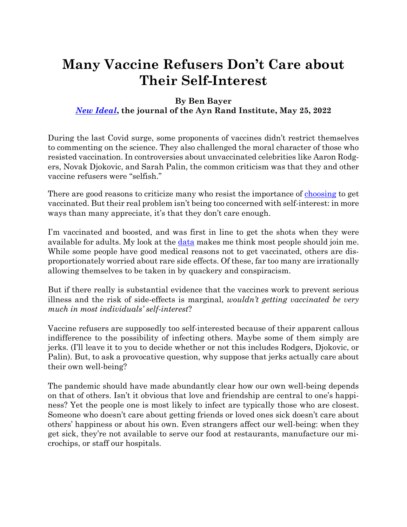## **Many Vaccine Refusers Don't Care about Their Self-Interest**

## **By Ben Bayer** *New Ideal***, the journal of the Ayn Rand Institute, May 25, 2022**

During the last Covid surge, some proponents of vaccines didn't restrict themselves to commenting on the science. They also challenged the moral character of those who resisted vaccination. In controversies about unvaccinated celebrities like Aaron Rodgers, Novak Djokovic, and Sarah Palin, the common criticism was that they and other vaccine refusers were "selfish."

There are good reasons to criticize many who resist the importance of choosing to get vaccinated. But their real problem isn't being too concerned with self-interest: in more ways than many appreciate, it's that they don't care enough.

I'm vaccinated and boosted, and was first in line to get the shots when they were available for adults. My look at the data makes me think most people should join me. While some people have good medical reasons not to get vaccinated, others are disproportionately worried about rare side effects. Of these, far too many are irrationally allowing themselves to be taken in by quackery and conspiracism.

But if there really is substantial evidence that the vaccines work to prevent serious illness and the risk of side-effects is marginal, *wouldn't getting vaccinated be very much in most individuals' self-interest*?

Vaccine refusers are supposedly too self-interested because of their apparent callous indifference to the possibility of infecting others. Maybe some of them simply are jerks. (I'll leave it to you to decide whether or not this includes Rodgers, Djokovic, or Palin). But, to ask a provocative question, why suppose that jerks actually care about their own well-being?

The pandemic should have made abundantly clear how our own well-being depends on that of others. Isn't it obvious that love and friendship are central to one's happiness? Yet the people one is most likely to infect are typically those who are closest. Someone who doesn't care about getting friends or loved ones sick doesn't care about others' happiness or about his own. Even strangers affect our well-being: when they get sick, they're not available to serve our food at restaurants, manufacture our microchips, or staff our hospitals.